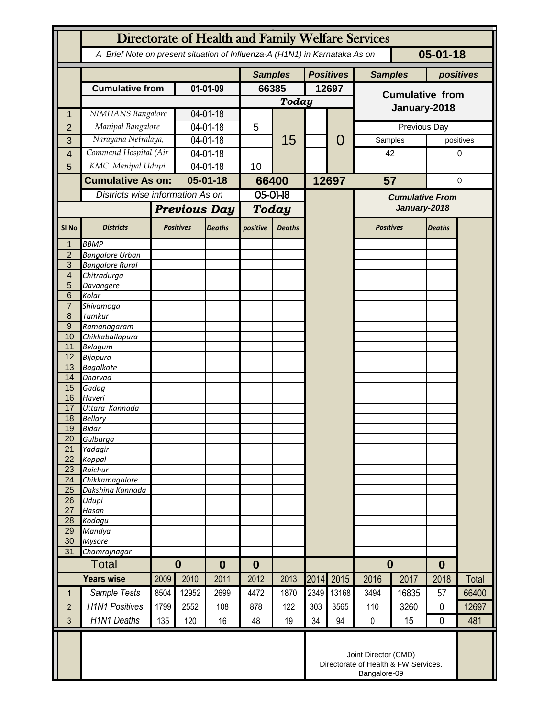|                     | Directorate of Health and Family Welfare Services                                            |              |                      |                |                                  |               |                  |                                                                              |                                        |            |                  |              |  |
|---------------------|----------------------------------------------------------------------------------------------|--------------|----------------------|----------------|----------------------------------|---------------|------------------|------------------------------------------------------------------------------|----------------------------------------|------------|------------------|--------------|--|
|                     | $05 - 01 - 18$<br>A Brief Note on present situation of Influenza-A (H1N1) in Karnataka As on |              |                      |                |                                  |               |                  |                                                                              |                                        |            |                  |              |  |
|                     |                                                                                              |              |                      | <b>Samples</b> |                                  |               | <b>Positives</b> | <b>Samples</b>                                                               |                                        |            | positives        |              |  |
|                     | <b>Cumulative from</b>                                                                       |              | $01 - 01 - 09$       |                | 66385                            |               | 12697            |                                                                              | <b>Cumulative from</b>                 |            |                  |              |  |
|                     |                                                                                              |              |                      |                |                                  | <b>Today</b>  |                  |                                                                              | January-2018                           |            |                  |              |  |
| 1                   | NIMHANS Bangalore                                                                            |              | 04-01-18             |                |                                  | 15            |                  |                                                                              |                                        |            |                  |              |  |
| $\overline{2}$      | Manipal Bangalore                                                                            |              | 04-01-18             |                | 5                                |               |                  |                                                                              |                                        |            | Previous Day     |              |  |
| 3                   | Narayana Netralaya,                                                                          |              | 04-01-18             |                |                                  |               |                  | 0                                                                            | Samples                                |            |                  | positives    |  |
| 4                   | Command Hospital (Air                                                                        |              | 04-01-18             |                |                                  |               |                  |                                                                              | 42                                     |            | 0                |              |  |
| 5                   | KMC Manipal Udupi                                                                            |              | 04-01-18             |                | 10                               |               |                  |                                                                              |                                        |            |                  |              |  |
|                     | <b>Cumulative As on:</b>                                                                     |              | $05 - 01 - 18$       |                | 66400                            |               |                  | 12697                                                                        |                                        | 57         |                  | $\pmb{0}$    |  |
|                     | Districts wise information As on                                                             |              |                      |                | $05 - 01 - 18$                   |               |                  |                                                                              | <b>Cumulative From</b><br>January-2018 |            |                  |              |  |
|                     |                                                                                              |              | <b>Previous Day</b>  |                | <b>Today</b>                     |               |                  |                                                                              |                                        |            |                  |              |  |
| SI <sub>No</sub>    | <b>Districts</b>                                                                             |              | <b>Positives</b>     | <b>Deaths</b>  | positive                         | <b>Deaths</b> |                  |                                                                              | <b>Positives</b>                       |            | <b>Deaths</b>    |              |  |
| 1                   | <b>BBMP</b>                                                                                  |              |                      |                |                                  |               |                  |                                                                              |                                        |            |                  |              |  |
| 2<br>3              | <b>Bangalore Urban</b><br><b>Bangalore Rural</b>                                             |              |                      |                |                                  |               |                  |                                                                              |                                        |            |                  |              |  |
| $\overline{4}$      | Chitradurga                                                                                  |              |                      |                |                                  |               |                  |                                                                              |                                        |            |                  |              |  |
| 5                   | Davangere                                                                                    |              |                      |                |                                  |               |                  |                                                                              |                                        |            |                  |              |  |
| 6<br>$\overline{7}$ | Kolar                                                                                        |              |                      |                |                                  |               |                  |                                                                              |                                        |            |                  |              |  |
| 8                   | Shivamoga<br>Tumkur                                                                          |              |                      |                |                                  |               |                  |                                                                              |                                        |            |                  |              |  |
| 9                   | Ramanagaram                                                                                  |              |                      |                |                                  |               |                  |                                                                              |                                        |            |                  |              |  |
| 10                  | Chikkaballapura                                                                              |              |                      |                |                                  |               |                  |                                                                              |                                        |            |                  |              |  |
| 11<br>12            | <b>Belagum</b>                                                                               |              |                      |                |                                  |               |                  |                                                                              |                                        |            |                  |              |  |
| 13                  | Bijapura<br><b>Bagalkote</b>                                                                 |              |                      |                |                                  |               |                  |                                                                              |                                        |            |                  |              |  |
| 14                  | <b>Dharvad</b>                                                                               |              |                      |                |                                  |               |                  |                                                                              |                                        |            |                  |              |  |
| 15                  | Gadag                                                                                        |              |                      |                |                                  |               |                  |                                                                              |                                        |            |                  |              |  |
| 16<br>17            | Haveri<br>Uttara Kannada                                                                     |              |                      |                |                                  |               |                  |                                                                              |                                        |            |                  |              |  |
| 18                  | <b>Bellary</b>                                                                               |              |                      |                |                                  |               |                  |                                                                              |                                        |            |                  |              |  |
| 19                  | <b>Bidar</b>                                                                                 |              |                      |                |                                  |               |                  |                                                                              |                                        |            |                  |              |  |
| 20                  | Gulbarga                                                                                     |              |                      |                |                                  |               |                  |                                                                              |                                        |            |                  |              |  |
| 21<br>22            | Yadagir<br>Koppal                                                                            |              |                      |                |                                  |               |                  |                                                                              |                                        |            |                  |              |  |
| 23                  | Raichur                                                                                      |              |                      |                |                                  |               |                  |                                                                              |                                        |            |                  |              |  |
| 24                  | Chikkamagalore                                                                               |              |                      |                |                                  |               |                  |                                                                              |                                        |            |                  |              |  |
| 25                  | Dakshina Kannada                                                                             |              |                      |                |                                  |               |                  |                                                                              |                                        |            |                  |              |  |
| 26<br>27            | Udupi<br>Hasan                                                                               |              |                      |                |                                  |               |                  |                                                                              |                                        |            |                  |              |  |
| 28                  | Kodagu                                                                                       |              |                      |                |                                  |               |                  |                                                                              |                                        |            |                  |              |  |
| 29                  | Mandya                                                                                       |              |                      |                |                                  |               |                  |                                                                              |                                        |            |                  |              |  |
| 30                  | <b>Mysore</b>                                                                                |              |                      |                |                                  |               |                  |                                                                              |                                        |            |                  |              |  |
| 31                  | Chamrajnagar<br><b>Total</b>                                                                 |              | $\bf{0}$<br>$\bf{0}$ |                |                                  |               |                  |                                                                              | $\bf{0}$                               |            | $\boldsymbol{0}$ |              |  |
| <b>Years wise</b>   |                                                                                              | 2010<br>2009 |                      | 2011           | $\boldsymbol{0}$<br>2013<br>2012 |               | 2014             | 2015                                                                         | 2016<br>2017                           |            | 2018             | <b>Total</b> |  |
| 1                   | Sample Tests                                                                                 | 8504         | 12952                | 2699           | 4472                             | 1870          | 2349             | 13168                                                                        | 3494                                   | 16835      | 57               | 66400        |  |
|                     | <b>H1N1 Positives</b>                                                                        |              |                      |                |                                  | 122           | 303              |                                                                              |                                        |            | $\mathbf 0$      |              |  |
| $\overline{2}$<br>3 | <b>H1N1 Deaths</b>                                                                           | 1799<br>135  | 2552<br>120          | 108<br>16      | 878<br>48                        | 19            | 34               | 3565<br>94                                                                   | 110<br>$\mathbf 0$                     | 3260<br>15 | 0                | 12697<br>481 |  |
|                     |                                                                                              |              |                      |                |                                  |               |                  |                                                                              |                                        |            |                  |              |  |
|                     |                                                                                              |              |                      |                |                                  |               |                  | Joint Director (CMD)<br>Directorate of Health & FW Services.<br>Bangalore-09 |                                        |            |                  |              |  |